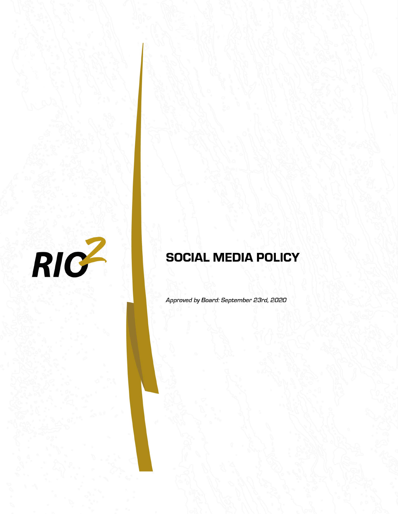

# **SOCIAL MEDIA POLICY**

Approved by Board: September 23rd, 2020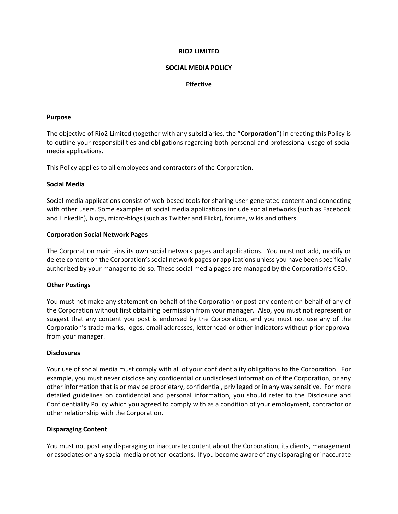#### **RIO2 LIMITED**

## **SOCIAL MEDIA POLICY**

# **Effective**

#### **Purpose**

The objective of Rio2 Limited (together with any subsidiaries, the "**Corporation**") in creating this Policy is to outline your responsibilities and obligations regarding both personal and professional usage of social media applications.

This Policy applies to all employees and contractors of the Corporation.

#### **Social Media**

Social media applications consist of web‐based tools for sharing user‐generated content and connecting with other users. Some examples of social media applications include social networks (such as Facebook and LinkedIn), blogs, micro‐blogs (such as Twitter and Flickr), forums, wikis and others.

## **Corporation Social Network Pages**

The Corporation maintains its own social network pages and applications. You must not add, modify or delete content on the Corporation'ssocial network pages or applications unless you have been specifically authorized by your manager to do so. These social media pages are managed by the Corporation's CEO.

#### **Other Postings**

You must not make any statement on behalf of the Corporation or post any content on behalf of any of the Corporation without first obtaining permission from your manager. Also, you must not represent or suggest that any content you post is endorsed by the Corporation, and you must not use any of the Corporation's trade‐marks, logos, email addresses, letterhead or other indicators without prior approval from your manager.

#### **Disclosures**

Your use of social media must comply with all of your confidentiality obligations to the Corporation. For example, you must never disclose any confidential or undisclosed information of the Corporation, or any other information that is or may be proprietary, confidential, privileged or in any way sensitive. For more detailed guidelines on confidential and personal information, you should refer to the Disclosure and Confidentiality Policy which you agreed to comply with as a condition of your employment, contractor or other relationship with the Corporation.

#### **Disparaging Content**

You must not post any disparaging or inaccurate content about the Corporation, its clients, management or associates on any social media or other locations. If you become aware of any disparaging or inaccurate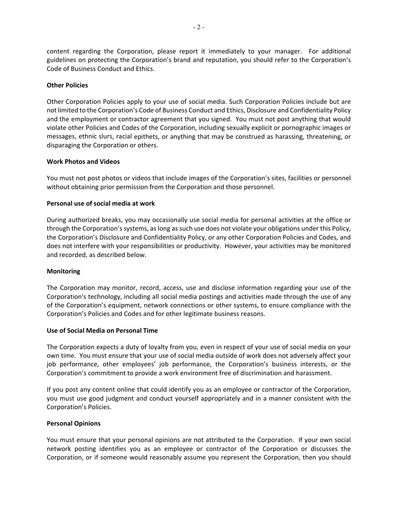content regarding the Corporation, please report it immediately to your manager. For additional guidelines on protecting the Corporation's brand and reputation, you should refer to the Corporation's Code of Business Conduct and Ethics.

# **Other Policies**

Other Corporation Policies apply to your use of social media. Such Corporation Policies include but are not limited to the Corporation's Code of Business Conduct and Ethics, Disclosure and Confidentiality Policy and the employment or contractor agreement that you signed. You must not post anything that would violate other Policies and Codes of the Corporation, including sexually explicit or pornographic images or messages, ethnic slurs, racial epithets, or anything that may be construed as harassing, threatening, or disparaging the Corporation or others.

## **Work Photos and Videos**

You must not post photos or videos that include images of the Corporation's sites, facilities or personnel without obtaining prior permission from the Corporation and those personnel.

## **Personal use of social media at work**

During authorized breaks, you may occasionally use social media for personal activities at the office or through the Corporation's systems, as long as such use does not violate your obligations under this Policy, the Corporation's Disclosure and Confidentiality Policy, or any other Corporation Policies and Codes, and does not interfere with your responsibilities or productivity. However, your activities may be monitored and recorded, as described below.

#### **Monitoring**

The Corporation may monitor, record, access, use and disclose information regarding your use of the Corporation's technology, including all social media postings and activities made through the use of any of the Corporation's equipment, network connections or other systems, to ensure compliance with the Corporation's Policies and Codes and for other legitimate business reasons.

#### **Use of Social Media on Personal Time**

The Corporation expects a duty of loyalty from you, even in respect of your use of social media on your own time. You must ensure that your use of social media outside of work does not adversely affect your job performance, other employees' job performance, the Corporation's business interests, or the Corporation's commitment to provide a work environment free of discrimination and harassment.

If you post any content online that could identify you as an employee or contractor of the Corporation, you must use good judgment and conduct yourself appropriately and in a manner consistent with the Corporation's Policies.

#### **Personal Opinions**

You must ensure that your personal opinions are not attributed to the Corporation. If your own social network posting identifies you as an employee or contractor of the Corporation or discusses the Corporation, or if someone would reasonably assume you represent the Corporation, then you should